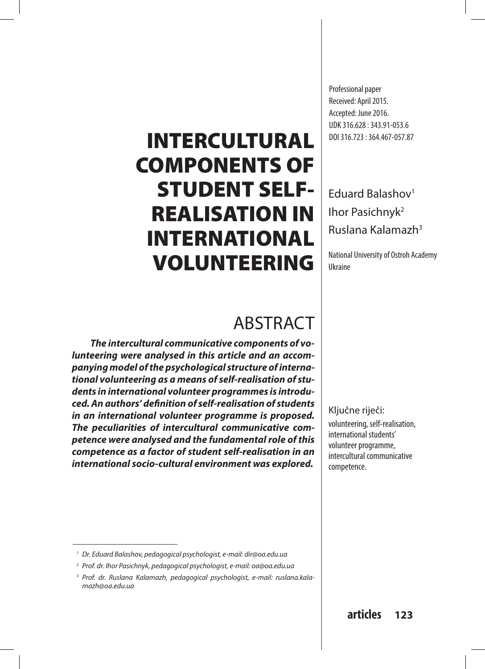# INTERCULTURAL COMPONENTS OF STUDENT SELF-REALISATION IN INTERNATIONAL VOLUNTEERING

## ABSTRACT

*The intercultural communicative components of volunteering were analysed in this article and an accompanying model of the psychological structure of international volunteering as a means of self-realisation of students in international volunteer programmes is introduced. An authors' definition of self-realisation of students in an international volunteer programme is proposed. The peculiarities of intercultural communicative competence were analysed and the fundamental role of this competence as a factor of student self-realisation in an international socio-cultural environment was explored.* 

Professional paper Received: April 2015. Accepted: June 2016. UDK 316.628 : 343.91-053.6 DOI 316.723 : 364.467-057.87

### Eduard Balashov1 Ihor Pasichnyk<sup>2</sup> Ruslana Kalamazh3

National University of Ostroh Academy Ukraine

Ključne riječi:

volunteering, self-realisation, international students' volunteer programme, intercultural communicative competence.

*<sup>1</sup> Dr. Eduard Balashov, pedagogical psychologist, e-mail: dir@oa.edu.ua*

*<sup>2</sup> Prof. dr. Ihor Pasichnyk, pedagogical psychologist, e-mail: oa@oa.edu.ua*

*<sup>3</sup> Prof. dr. Ruslana Kalamazh, pedagogical psychologist, e-mail: ruslana.kalamazh@oa.edu.ua*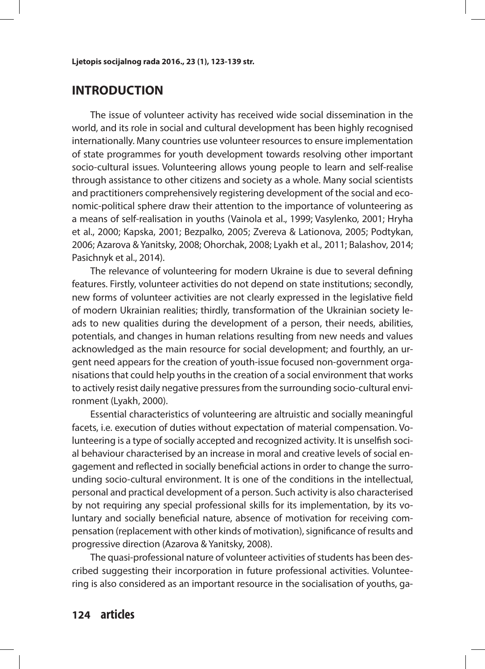### **INTRODUCTION**

The issue of volunteer activity has received wide social dissemination in the world, and its role in social and cultural development has been highly recognised internationally. Many countries use volunteer resources to ensure implementation of state programmes for youth development towards resolving other important socio-cultural issues. Volunteering allows young people to learn and self-realise through assistance to other citizens and society as a whole. Many social scientists and practitioners comprehensively registering development of the social and economic-political sphere draw their attention to the importance of volunteering as a means of self-realisation in youths (Vainola et al., 1999; Vasylenko, 2001; Hryha et al., 2000; Kapska, 2001; Bezpalko, 2005; Zvereva & Lationova, 2005; Podtykan, 2006; Azarova & Yanitsky, 2008; Ohorchak, 2008; Lyakh et al., 2011; Balashov, 2014; Pasichnyk et al., 2014).

The relevance of volunteering for modern Ukraine is due to several defining features. Firstly, volunteer activities do not depend on state institutions; secondly, new forms of volunteer activities are not clearly expressed in the legislative field of modern Ukrainian realities; thirdly, transformation of the Ukrainian society leads to new qualities during the development of a person, their needs, abilities, potentials, and changes in human relations resulting from new needs and values acknowledged as the main resource for social development; and fourthly, an urgent need appears for the creation of youth-issue focused non-government organisations that could help youths in the creation of a social environment that works to actively resist daily negative pressures from the surrounding socio-cultural environment (Lyakh, 2000).

Essential characteristics of volunteering are altruistic and socially meaningful facets, i.e. execution of duties without expectation of material compensation. Volunteering is a type of socially accepted and recognized activity. It is unselfish social behaviour characterised by an increase in moral and creative levels of social engagement and reflected in socially beneficial actions in order to change the surrounding socio-cultural environment. It is one of the conditions in the intellectual, personal and practical development of a person. Such activity is also characterised by not requiring any special professional skills for its implementation, by its voluntary and socially beneficial nature, absence of motivation for receiving compensation (replacement with other kinds of motivation), significance of results and progressive direction (Azarova & Yanitsky, 2008).

The quasi-professional nature of volunteer activities of students has been described suggesting their incorporation in future professional activities. Volunteering is also considered as an important resource in the socialisation of youths, ga-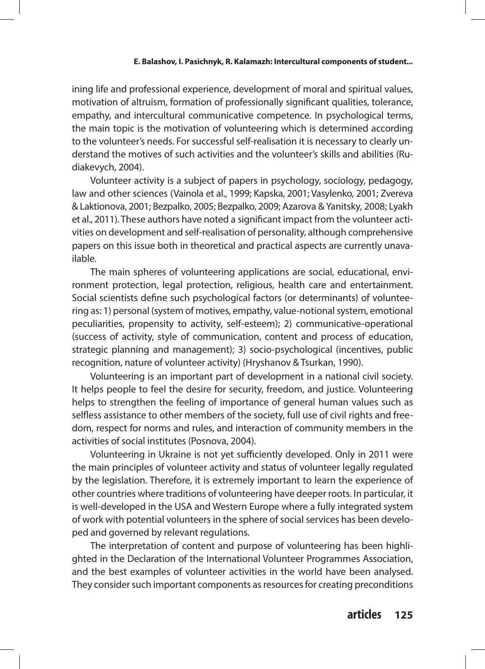ining life and professional experience, development of moral and spiritual values, motivation of altruism, formation of professionally significant qualities, tolerance, empathy, and intercultural communicative competence. In psychological terms, the main topic is the motivation of volunteering which is determined according to the volunteer's needs. For successful self-realisation it is necessary to clearly understand the motives of such activities and the volunteer's skills and abilities (Rudiakevych, 2004).

Volunteer activity is a subject of papers in psychology, sociology, pedagogy, law and other sciences (Vainola et al., 1999; Kapska, 2001; Vasylenko, 2001; Zvereva & Laktionova, 2001; Bezpalko, 2005; Bezpalko, 2009; Azarova & Yanitsky, 2008; Lyakh et al., 2011). These authors have noted a significant impact from the volunteer activities on development and self-realisation of personality, although comprehensive papers on this issue both in theoretical and practical aspects are currently unavailable.

The main spheres of volunteering applications are social, educational, environment protection, legal protection, religious, health care and entertainment. Social scientists define such psychological factors (or determinants) of volunteering as: 1) personal (system of motives, empathy, value-notional system, emotional peculiarities, propensity to activity, self-esteem); 2) communicative-operational (success of activity, style of communication, content and process of education, strategic planning and management); 3) socio-psychological (incentives, public recognition, nature of volunteer activity) (Hryshanov & Tsurkan, 1990).

Volunteering is an important part of development in a national civil society. It helps people to feel the desire for security, freedom, and justice. Volunteering helps to strengthen the feeling of importance of general human values such as selfless assistance to other members of the society, full use of civil rights and freedom, respect for norms and rules, and interaction of community members in the activities of social institutes (Posnova, 2004).

Volunteering in Ukraine is not yet sufficiently developed. Only in 2011 were the main principles of volunteer activity and status of volunteer legally regulated by the legislation. Therefore, it is extremely important to learn the experience of other countries where traditions of volunteering have deeper roots. In particular, it is well-developed in the USA and Western Europe where a fully integrated system of work with potential volunteers in the sphere of social services has been developed and governed by relevant regulations.

The interpretation of content and purpose of volunteering has been highlighted in the Declaration of the International Volunteer Programmes Association, and the best examples of volunteer activities in the world have been analysed. They consider such important components as resources for creating preconditions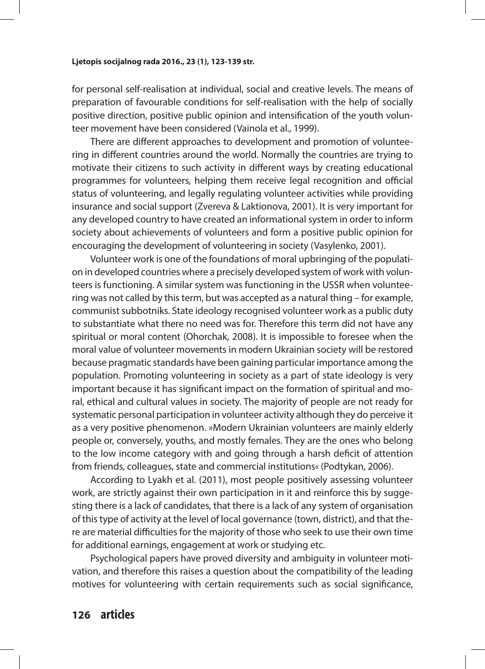for personal self-realisation at individual, social and creative levels. The means of preparation of favourable conditions for self-realisation with the help of socially positive direction, positive public opinion and intensification of the youth volunteer movement have been considered (Vainola et al., 1999).

There are different approaches to development and promotion of volunteering in different countries around the world. Normally the countries are trying to motivate their citizens to such activity in different ways by creating educational programmes for volunteers, helping them receive legal recognition and official status of volunteering, and legally regulating volunteer activities while providing insurance and social support (Zvereva & Laktionova, 2001). It is very important for any developed country to have created an informational system in order to inform society about achievements of volunteers and form a positive public opinion for encouraging the development of volunteering in society (Vasylenko, 2001).

Volunteer work is one of the foundations of moral upbringing of the population in developed countries where a precisely developed system of work with volunteers is functioning. A similar system was functioning in the USSR when volunteering was not called by this term, but was accepted as a natural thing – for example, communist subbotniks. State ideology recognised volunteer work as a public duty to substantiate what there no need was for. Therefore this term did not have any spiritual or moral content (Ohorchak, 2008). It is impossible to foresee when the moral value of volunteer movements in modern Ukrainian society will be restored because pragmatic standards have been gaining particular importance among the population. Promoting volunteering in society as a part of state ideology is very important because it has significant impact on the formation of spiritual and moral, ethical and cultural values in society. The majority of people are not ready for systematic personal participation in volunteer activity although they do perceive it as a very positive phenomenon. »Modern Ukrainian volunteers are mainly elderly people or, conversely, youths, and mostly females. They are the ones who belong to the low income category with and going through a harsh deficit of attention from friends, colleagues, state and commercial institutions*«* (Podtykan, 2006).

According to Lyakh et al. (2011), most people positively assessing volunteer work, are strictly against their own participation in it and reinforce this by suggesting there is a lack of candidates, that there is a lack of any system of organisation of this type of activity at the level of local governance (town, district), and that there are material difficulties for the majority of those who seek to use their own time for additional earnings, engagement at work or studying etc.

Psychological papers have proved diversity and ambiguity in volunteer motivation, and therefore this raises a question about the compatibility of the leading motives for volunteering with certain requirements such as social significance,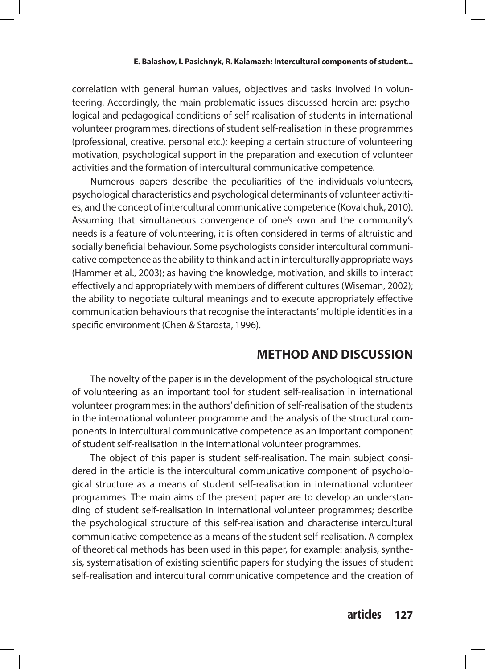correlation with general human values, objectives and tasks involved in volunteering. Accordingly, the main problematic issues discussed herein are: psychological and pedagogical conditions of self-realisation of students in international volunteer programmes, directions of student self-realisation in these programmes (professional, creative, personal etc.); keeping a certain structure of volunteering motivation, psychological support in the preparation and execution of volunteer activities and the formation of intercultural communicative competence.

Numerous papers describe the peculiarities of the individuals-volunteers, psychological characteristics and psychological determinants of volunteer activities, and the concept of intercultural communicative competence (Kovalchuk, 2010). Assuming that simultaneous convergence of one's own and the community's needs is a feature of volunteering, it is often considered in terms of altruistic and socially beneficial behaviour. Some psychologists consider intercultural communicative competence as the ability to think and act in interculturally appropriate ways (Hammer et al., 2003); as having the knowledge, motivation, and skills to interact effectively and appropriately with members of different cultures (Wiseman, 2002); the ability to negotiate cultural meanings and to execute appropriately effective communication behaviours that recognise the interactants' multiple identities in a specific environment (Chen & Starosta, 1996).

### **METHOD AND DISCUSSION**

The novelty of the paper is in the development of the psychological structure of volunteering as an important tool for student self-realisation in international volunteer programmes; in the authors' definition of self-realisation of the students in the international volunteer programme and the analysis of the structural components in intercultural communicative competence as an important component of student self-realisation in the international volunteer programmes.

The object of this paper is student self-realisation. The main subject considered in the article is the intercultural communicative component of psychological structure as a means of student self-realisation in international volunteer programmes. The main aims of the present paper are to develop an understanding of student self-realisation in international volunteer programmes; describe the psychological structure of this self-realisation and characterise intercultural communicative competence as a means of the student self-realisation. A complex of theoretical methods has been used in this paper, for example: analysis, synthesis, systematisation of existing scientific papers for studying the issues of student self-realisation and intercultural communicative competence and the creation of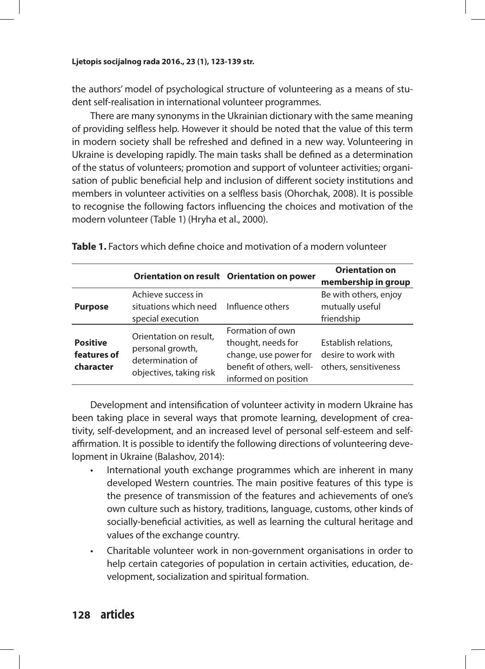the authors' model of psychological structure of volunteering as a means of student self-realisation in international volunteer programmes.

There are many synonyms in the Ukrainian dictionary with the same meaning of providing selfless help. However it should be noted that the value of this term in modern society shall be refreshed and defined in a new way. Volunteering in Ukraine is developing rapidly. The main tasks shall be defined as a determination of the status of volunteers; promotion and support of volunteer activities; organisation of public beneficial help and inclusion of different society institutions and members in volunteer activities on a selfless basis (Ohorchak, 2008). It is possible to recognise the following factors influencing the choices and motivation of the modern volunteer (Table 1) (Hryha et al., 2000).

|                                             |                                                                                           | Orientation on result Orientation on power                                                                          | <b>Orientation on</b><br>membership in group                         |
|---------------------------------------------|-------------------------------------------------------------------------------------------|---------------------------------------------------------------------------------------------------------------------|----------------------------------------------------------------------|
| <b>Purpose</b>                              | Achieve success in<br>situations which need<br>special execution                          | Influence others                                                                                                    | Be with others, enjoy<br>mutually useful<br>friendship               |
| <b>Positive</b><br>features of<br>character | Orientation on result,<br>personal growth,<br>determination of<br>objectives, taking risk | Formation of own<br>thought, needs for<br>change, use power for<br>benefit of others, well-<br>informed on position | Establish relations,<br>desire to work with<br>others, sensitiveness |

**Table 1.** Factors which define choice and motivation of a modern volunteer

Development and intensification of volunteer activity in modern Ukraine has been taking place in several ways that promote learning, development of creativity, self-development, and an increased level of personal self-esteem and selfaffirmation. It is possible to identify the following directions of volunteering development in Ukraine (Balashov, 2014):

- International youth exchange programmes which are inherent in many developed Western countries. The main positive features of this type is the presence of transmission of the features and achievements of one's own culture such as history, traditions, language, customs, other kinds of socially-beneficial activities, as well as learning the cultural heritage and values of the exchange country.
- Charitable volunteer work in non-government organisations in order to help certain categories of population in certain activities, education, development, socialization and spiritual formation.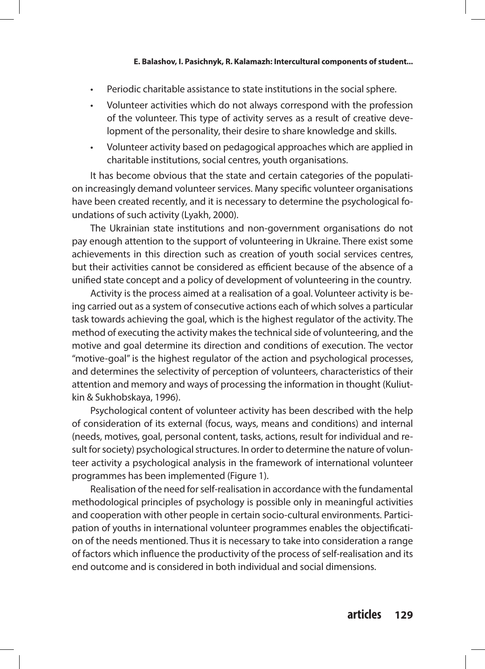- Periodic charitable assistance to state institutions in the social sphere.
- Volunteer activities which do not always correspond with the profession of the volunteer. This type of activity serves as a result of creative development of the personality, their desire to share knowledge and skills.
- Volunteer activity based on pedagogical approaches which are applied in charitable institutions, social centres, youth organisations.

It has become obvious that the state and certain categories of the population increasingly demand volunteer services. Many specific volunteer organisations have been created recently, and it is necessary to determine the psychological foundations of such activity (Lyakh, 2000).

The Ukrainian state institutions and non-government organisations do not pay enough attention to the support of volunteering in Ukraine. There exist some achievements in this direction such as creation of youth social services centres, but their activities cannot be considered as efficient because of the absence of a unified state concept and a policy of development of volunteering in the country.

Activity is the process aimed at a realisation of a goal. Volunteer activity is being carried out as a system of consecutive actions each of which solves a particular task towards achieving the goal, which is the highest regulator of the activity. The method of executing the activity makes the technical side of volunteering, and the motive and goal determine its direction and conditions of execution. The vector "motive-goal" is the highest regulator of the action and psychological processes, and determines the selectivity of perception of volunteers, characteristics of their attention and memory and ways of processing the information in thought (Kuliutkin & Sukhobskaya, 1996).

Psychological content of volunteer activity has been described with the help of consideration of its external (focus, ways, means and conditions) and internal (needs, motives, goal, personal content, tasks, actions, result for individual and result for society) psychological structures. In order to determine the nature of volunteer activity a psychological analysis in the framework of international volunteer programmes has been implemented (Figure 1).

Realisation of the need for self-realisation in accordance with the fundamental methodological principles of psychology is possible only in meaningful activities and cooperation with other people in certain socio-cultural environments. Participation of youths in international volunteer programmes enables the objectification of the needs mentioned. Thus it is necessary to take into consideration a range of factors which influence the productivity of the process of self-realisation and its end outcome and is considered in both individual and social dimensions.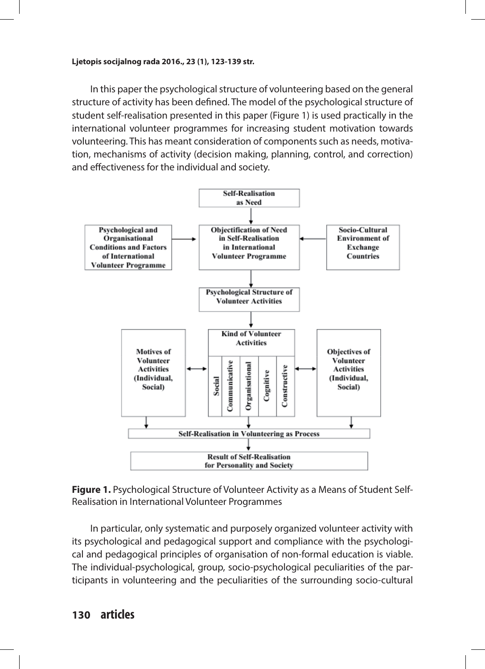In this paper the psychological structure of volunteering based on the general structure of activity has been defined. The model of the psychological structure of student self-realisation presented in this paper (Figure 1) is used practically in the international volunteer programmes for increasing student motivation towards volunteering. This has meant consideration of components such as needs, motivation, mechanisms of activity (decision making, planning, control, and correction) and effectiveness for the individual and society.





In particular, only systematic and purposely organized volunteer activity with its psychological and pedagogical support and compliance with the psychological and pedagogical principles of organisation of non-formal education is viable. The individual-psychological, group, socio-psychological peculiarities of the participants in volunteering and the peculiarities of the surrounding socio-cultural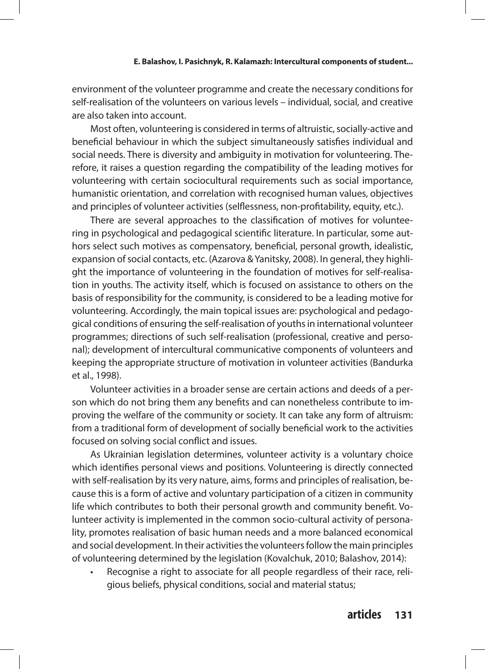environment of the volunteer programme and create the necessary conditions for self-realisation of the volunteers on various levels – individual, social, and creative are also taken into account.

Most often, volunteering is considered in terms of altruistic, socially-active and beneficial behaviour in which the subject simultaneously satisfies individual and social needs. There is diversity and ambiguity in motivation for volunteering. Therefore, it raises a question regarding the compatibility of the leading motives for volunteering with certain sociocultural requirements such as social importance, humanistic orientation, and correlation with recognised human values, objectives and principles of volunteer activities (selflessness, non-profitability, equity, etc.).

There are several approaches to the classification of motives for volunteering in psychological and pedagogical scientific literature. In particular, some authors select such motives as compensatory, beneficial, personal growth, idealistic, expansion of social contacts, etc. (Azarova & Yanitsky, 2008). In general, they highlight the importance of volunteering in the foundation of motives for self-realisation in youths. The activity itself, which is focused on assistance to others on the basis of responsibility for the community, is considered to be a leading motive for volunteering. Accordingly, the main topical issues are: psychological and pedagogical conditions of ensuring the self-realisation of youths in international volunteer programmes; directions of such self-realisation (professional, creative and personal); development of intercultural communicative components of volunteers and keeping the appropriate structure of motivation in volunteer activities (Bandurka et al., 1998).

Volunteer activities in a broader sense are certain actions and deeds of a person which do not bring them any benefits and can nonetheless contribute to improving the welfare of the community or society. It can take any form of altruism: from a traditional form of development of socially beneficial work to the activities focused on solving social conflict and issues.

As Ukrainian legislation determines, volunteer activity is a voluntary choice which identifies personal views and positions. Volunteering is directly connected with self-realisation by its very nature, aims, forms and principles of realisation, because this is a form of active and voluntary participation of a citizen in community life which contributes to both their personal growth and community benefit. Volunteer activity is implemented in the common socio-cultural activity of personality, promotes realisation of basic human needs and a more balanced economical and social development. In their activities the volunteers follow the main principles of volunteering determined by the legislation (Kovalchuk, 2010; Balashov, 2014):

Recognise a right to associate for all people regardless of their race, religious beliefs, physical conditions, social and material status;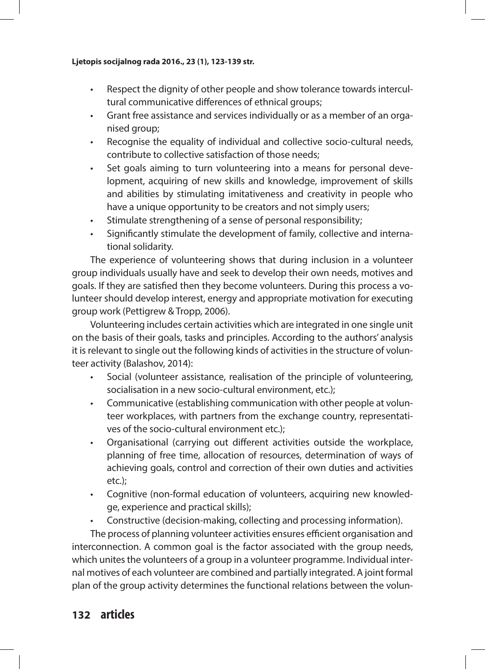- Respect the dignity of other people and show tolerance towards intercultural communicative differences of ethnical groups;
- Grant free assistance and services individually or as a member of an organised group;
- Recognise the equality of individual and collective socio-cultural needs, contribute to collective satisfaction of those needs;
- • Set goals aiming to turn volunteering into a means for personal development, acquiring of new skills and knowledge, improvement of skills and abilities by stimulating imitativeness and creativity in people who have a unique opportunity to be creators and not simply users;
- Stimulate strengthening of a sense of personal responsibility;
- Significantly stimulate the development of family, collective and international solidarity.

The experience of volunteering shows that during inclusion in a volunteer group individuals usually have and seek to develop their own needs, motives and goals. If they are satisfied then they become volunteers. During this process a volunteer should develop interest, energy and appropriate motivation for executing group work (Pettigrew & Tropp, 2006).

Volunteering includes certain activities which are integrated in one single unit on the basis of their goals, tasks and principles. According to the authors' analysis it is relevant to single out the following kinds of activities in the structure of volunteer activity (Balashov, 2014):

- Social (volunteer assistance, realisation of the principle of volunteering, socialisation in a new socio-cultural environment, etc.);
- Communicative (establishing communication with other people at volunteer workplaces, with partners from the exchange country, representatives of the socio-cultural environment etc.);
- Organisational (carrying out different activities outside the workplace, planning of free time, allocation of resources, determination of ways of achieving goals, control and correction of their own duties and activities etc.);
- Cognitive (non-formal education of volunteers, acquiring new knowledge, experience and practical skills);
- Constructive (decision-making, collecting and processing information).

The process of planning volunteer activities ensures efficient organisation and interconnection. A common goal is the factor associated with the group needs, which unites the volunteers of a group in a volunteer programme. Individual internal motives of each volunteer are combined and partially integrated. A joint formal plan of the group activity determines the functional relations between the volun-

### **132 articles**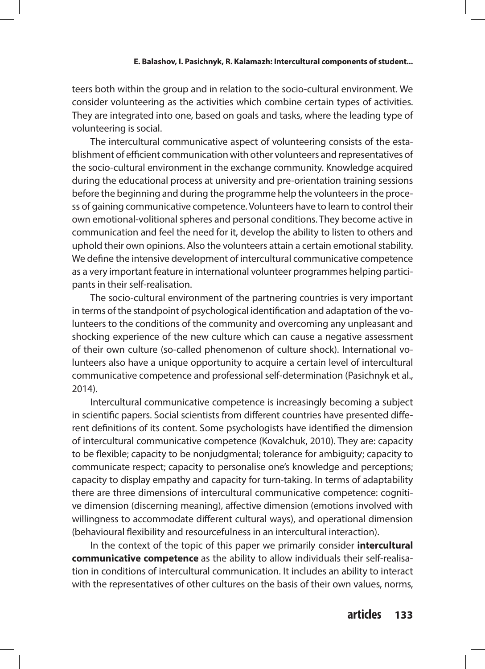teers both within the group and in relation to the socio-cultural environment. We consider volunteering as the activities which combine certain types of activities. They are integrated into one, based on goals and tasks, where the leading type of volunteering is social.

The intercultural communicative aspect of volunteering consists of the establishment of efficient communication with other volunteers and representatives of the socio-cultural environment in the exchange community. Knowledge acquired during the educational process at university and pre-orientation training sessions before the beginning and during the programme help the volunteers in the process of gaining communicative competence. Volunteers have to learn to control their own emotional-volitional spheres and personal conditions. They become active in communication and feel the need for it, develop the ability to listen to others and uphold their own opinions. Also the volunteers attain a certain emotional stability. We define the intensive development of intercultural communicative competence as a very important feature in international volunteer programmes helping participants in their self-realisation.

The socio-cultural environment of the partnering countries is very important in terms of the standpoint of psychological identification and adaptation of the volunteers to the conditions of the community and overcoming any unpleasant and shocking experience of the new culture which can cause a negative assessment of their own culture (so-called phenomenon of culture shock). International volunteers also have a unique opportunity to acquire a certain level of intercultural communicative competence and professional self-determination (Pasichnyk et al., 2014).

Intercultural communicative competence is increasingly becoming a subject in scientific papers. Social scientists from different countries have presented different definitions of its content. Some psychologists have identified the dimension of intercultural communicative competence (Kovalchuk, 2010). They are: capacity to be flexible; capacity to be nonjudgmental; tolerance for ambiguity; capacity to communicate respect; capacity to personalise one's knowledge and perceptions; capacity to display empathy and capacity for turn-taking. In terms of adaptability there are three dimensions of intercultural communicative competence: cognitive dimension (discerning meaning), affective dimension (emotions involved with willingness to accommodate different cultural ways), and operational dimension (behavioural flexibility and resourcefulness in an intercultural interaction).

In the context of the topic of this paper we primarily consider **intercultural communicative competence** as the ability to allow individuals their self-realisation in conditions of intercultural communication. It includes an ability to interact with the representatives of other cultures on the basis of their own values, norms,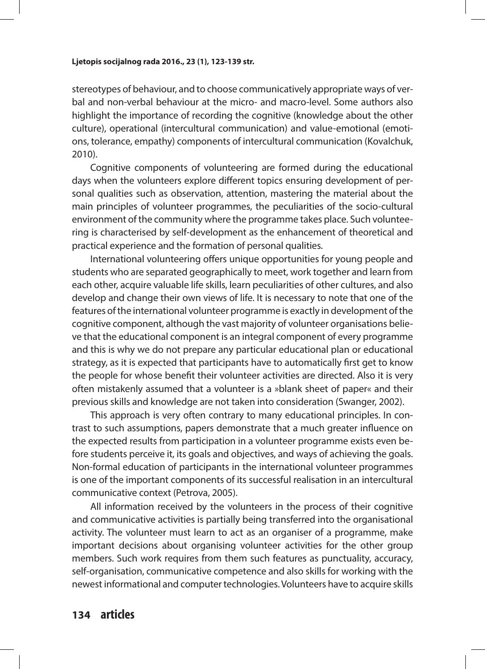stereotypes of behaviour, and to choose communicatively appropriate ways of verbal and non-verbal behaviour at the micro- and macro-level. Some authors also highlight the importance of recording the cognitive (knowledge about the other culture), operational (intercultural communication) and value-emotional (emotions, tolerance, empathy) components of intercultural communication (Kovalchuk, 2010).

Cognitive components of volunteering are formed during the educational days when the volunteers explore different topics ensuring development of personal qualities such as observation, attention, mastering the material about the main principles of volunteer programmes, the peculiarities of the socio-cultural environment of the community where the programme takes place. Such volunteering is characterised by self-development as the enhancement of theoretical and practical experience and the formation of personal qualities.

International volunteering offers unique opportunities for young people and students who are separated geographically to meet, work together and learn from each other, acquire valuable life skills, learn peculiarities of other cultures, and also develop and change their own views of life. It is necessary to note that one of the features of the international volunteer programme is exactly in development of the cognitive component, although the vast majority of volunteer organisations believe that the educational component is an integral component of every programme and this is why we do not prepare any particular educational plan or educational strategy, as it is expected that participants have to automatically first get to know the people for whose benefit their volunteer activities are directed. Also it is very often mistakenly assumed that a volunteer is a »blank sheet of paper« and their previous skills and knowledge are not taken into consideration (Swanger, 2002).

This approach is very often contrary to many educational principles. In contrast to such assumptions, papers demonstrate that a much greater influence on the expected results from participation in a volunteer programme exists even before students perceive it, its goals and objectives, and ways of achieving the goals. Non-formal education of participants in the international volunteer programmes is one of the important components of its successful realisation in an intercultural communicative context (Petrova, 2005).

All information received by the volunteers in the process of their cognitive and communicative activities is partially being transferred into the organisational activity. The volunteer must learn to act as an organiser of a programme, make important decisions about organising volunteer activities for the other group members. Such work requires from them such features as punctuality, accuracy, self-organisation, communicative competence and also skills for working with the newest informational and computer technologies. Volunteers have to acquire skills

### **134 articles**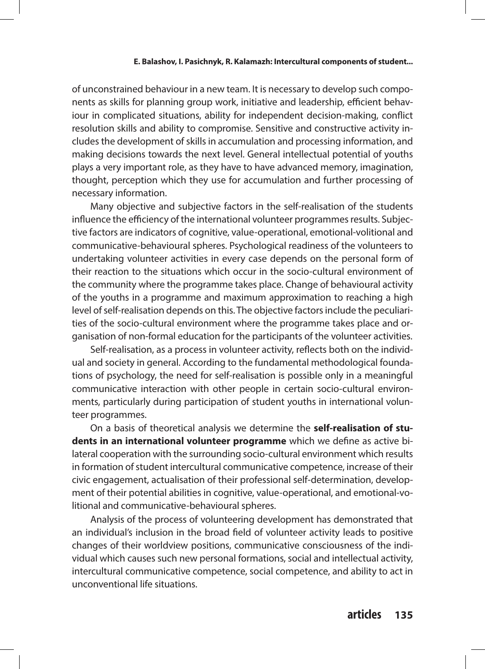of unconstrained behaviour in a new team. It is necessary to develop such components as skills for planning group work, initiative and leadership, efficient behaviour in complicated situations, ability for independent decision-making, conflict resolution skills and ability to compromise. Sensitive and constructive activity includes the development of skills in accumulation and processing information, and making decisions towards the next level. General intellectual potential of youths plays a very important role, as they have to have advanced memory, imagination, thought, perception which they use for accumulation and further processing of necessary information.

Many objective and subjective factors in the self-realisation of the students influence the efficiency of the international volunteer programmes results. Subjective factors are indicators of cognitive, value-operational, emotional-volitional and communicative-behavioural spheres. Psychological readiness of the volunteers to undertaking volunteer activities in every case depends on the personal form of their reaction to the situations which occur in the socio-cultural environment of the community where the programme takes place. Change of behavioural activity of the youths in a programme and maximum approximation to reaching a high level of self-realisation depends on this. The objective factors include the peculiarities of the socio-cultural environment where the programme takes place and organisation of non-formal education for the participants of the volunteer activities.

Self-realisation, as a process in volunteer activity, reflects both on the individual and society in general. According to the fundamental methodological foundations of psychology, the need for self-realisation is possible only in a meaningful communicative interaction with other people in certain socio-cultural environments, particularly during participation of student youths in international volunteer programmes.

On a basis of theoretical analysis we determine the **self-realisation of students in an international volunteer programme** which we define as active bilateral cooperation with the surrounding socio-cultural environment which results in formation of student intercultural communicative competence, increase of their civic engagement, actualisation of their professional self-determination, development of their potential abilities in cognitive, value-operational, and emotional-volitional and communicative-behavioural spheres.

Analysis of the process of volunteering development has demonstrated that an individual's inclusion in the broad field of volunteer activity leads to positive changes of their worldview positions, communicative consciousness of the individual which causes such new personal formations, social and intellectual activity, intercultural communicative competence, social competence, and ability to act in unconventional life situations.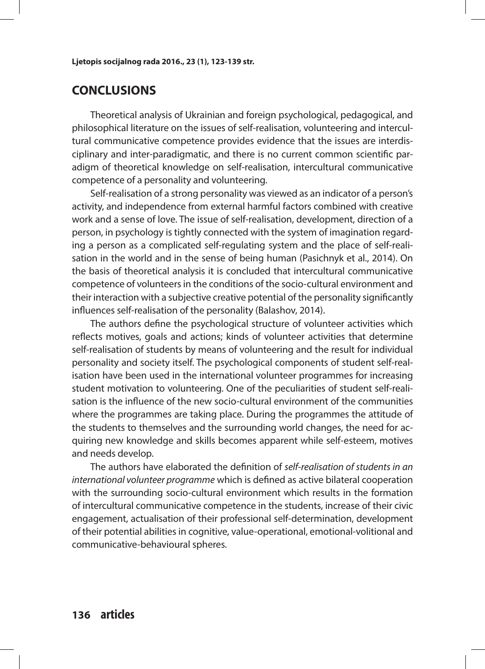### **CONCLUSIONS**

Theoretical analysis of Ukrainian and foreign psychological, pedagogical, and philosophical literature on the issues of self-realisation, volunteering and intercultural communicative competence provides evidence that the issues are interdisciplinary and inter-paradigmatic, and there is no current common scientific paradigm of theoretical knowledge on self-realisation, intercultural communicative competence of a personality and volunteering.

Self-realisation of a strong personality was viewed as an indicator of a person's activity, and independence from external harmful factors combined with creative work and a sense of love. The issue of self-realisation, development, direction of a person, in psychology is tightly connected with the system of imagination regarding a person as a complicated self-regulating system and the place of self-realisation in the world and in the sense of being human (Pasichnyk et al., 2014). On the basis of theoretical analysis it is concluded that intercultural communicative competence of volunteers in the conditions of the socio-cultural environment and their interaction with a subjective creative potential of the personality significantly influences self-realisation of the personality (Balashov, 2014).

The authors define the psychological structure of volunteer activities which reflects motives, goals and actions; kinds of volunteer activities that determine self-realisation of students by means of volunteering and the result for individual personality and society itself. The psychological components of student self-realisation have been used in the international volunteer programmes for increasing student motivation to volunteering. One of the peculiarities of student self-realisation is the influence of the new socio-cultural environment of the communities where the programmes are taking place. During the programmes the attitude of the students to themselves and the surrounding world changes, the need for acquiring new knowledge and skills becomes apparent while self-esteem, motives and needs develop.

The authors have elaborated the definition of *self-realisation of students in an international volunteer programme* which is defined as active bilateral cooperation with the surrounding socio-cultural environment which results in the formation of intercultural communicative competence in the students, increase of their civic engagement, actualisation of their professional self-determination, development of their potential abilities in cognitive, value-operational, emotional-volitional and communicative-behavioural spheres.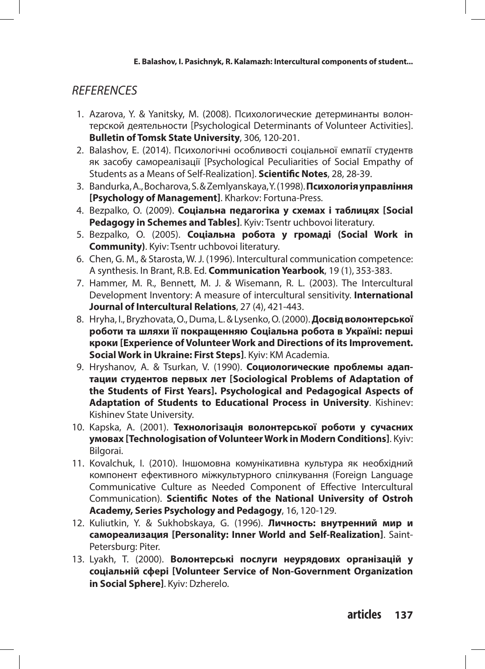### *REFERENCES*

- 1. Azarova, Y. & Yanitsky, M. (2008). Психологические детерминанты волонтерской деятельности [Psychological Determinants of Volunteer Activities]. **Bulletin of Tomsk State University**, 306*,* 120-201.
- 2. Balashov, E. (2014). Психологічні особливості соціальної емпатії студентв як засобу самореалізації [Psychological Peculiarities of Social Empathy of Students as a Means of Self-Realization]. **Scientific Notes**, 28, 28-39.
- 3. Bandurka, A., Bocharova, S. & Zemlyanskaya, Y. (1998). **Психологія управління [Psychology of Management]**. Kharkov: Fortuna-Press.
- 4. Bezpalko, O. (2009). **Соціальна педагогіка у схемах і таблицях [Social Pedagogy in Schemes and Tables]**. Kyiv: Tsentr uchbovoi literatury.
- 5. Bezpalko, O. (2005). **Соціальна робота у громаді (Social Work in Community)**. Kyiv: Tsentr uchbovoi literatury.
- 6. Chen, G. M., & Starosta, W. J. (1996). Intercultural communication competence: A synthesis. In Brant, R.B. Ed. **Communication Yearbook**, 19 (1), 353-383.
- 7. Hammer, M. R., Bennett, M. J. & Wisemann, R. L. (2003). The Intercultural Development Inventory: A measure of intercultural sensitivity. **International Journal of Intercultural Relations**, 27 (4), 421-443.
- 8. Hryha, I., Bryzhovata, O., Duma, L. & Lysenko, O. (2000). **Досвід волонтерської роботи та шляхи її покращенняю Соціальна робота в Україні: перші кроки [Experience of Volunteer Work and Directions of its Improvement. Social Work in Ukraine: First Steps]**. Kyiv: KM Academia.
- 9. Hryshanov, A. & Tsurkan, V. (1990). **Социологические проблемы адаптации студентов первых лет [Sociological Problems of Adaptation of the Students of First Years]. Psychological and Pedagogical Aspects of Adaptation of Students to Educational Process in University**. Kishinev: Kishinev State University.
- 10. Kapska, A. (2001). **Технологізація волонтерської роботи у сучасних умовах [Technologisation of Volunteer Work in Modern Conditions]**. Kyiv: Bilgorai.
- 11. Kovalchuk, I. (2010). Іншомовна комунікативна культура як необхідний компонент ефективного міжкультурного спілкування (Foreign Language Communicative Culture as Needed Component of Effective Intercultural Communication). **Scientific Notes of the National University of Ostroh Academy, Series Psychology and Pedagogy**, 16, 120-129.
- 12. Kuliutkin, Y. & Sukhobskaya, G. (1996). **Личность: внутренний мир и самореализация [Personality: Inner World and Self-Realization]**. Saint-Petersburg: Piter.
- 13. Lyakh, T. (2000). **Волонтерські послуги неурядових організацій у соціальній сфері [Volunteer Service of Non-Government Organization in Social Sphere]**. Kyiv: Dzherelo.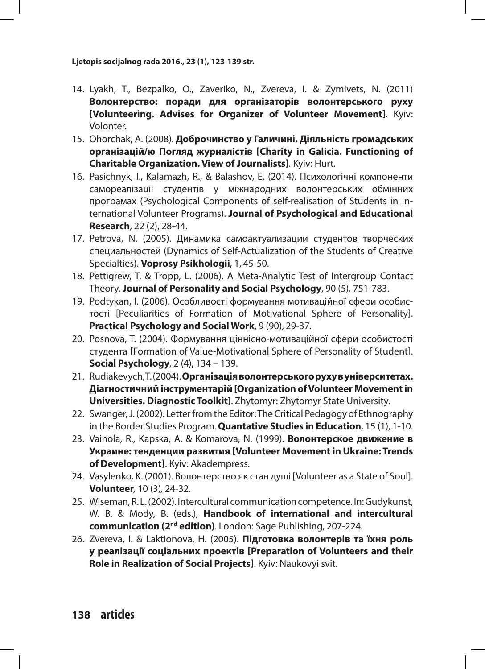- 14. Lyakh, T., Bezpalko, O., Zaveriko, N., Zvereva, I. & Zymivets, N. (2011) **Волонтерство: поради для організаторів волонтерського руху [Volunteering. Advises for Organizer of Volunteer Movement]***.* Kyiv: Volonter.
- 15. Ohorchak, A. (2008). **Доброчинство у Галичині. Діяльність громадських організацій/ю Погляд журналістів [Charity in Galicia. Functioning of Charitable Organization. View of Journalists]***.* Kyiv: Hurt.
- 16. Pasichnyk, I., Kalamazh, R., & Balashov, E. (2014). Психологічні компоненти самореалізації студентів у міжнародних волонтерських обмінних програмах (Psychological Components of self-realisation of Students in International Volunteer Programs). **Journal of Psychological and Educational Research**, 22 (2), 28-44.
- 17. Petrova, N. (2005). Динамика самоактуализации студентов творческих специальностей (Dynamics of Self-Actualization of the Students of Creative Specialties). **Voprosy Psikhologii**, 1, 45-50.
- 18. Pettigrew, T. & Tropp, L. (2006). A Meta-Analytic Test of Intergroup Contact Theory. **Journal of Personality and Social Psychology**, 90 (5)*,* 751-783.
- 19. Podtykan, I. (2006). Особливості формування мотиваційної сфери особистості [Peculiarities of Formation of Motivational Sphere of Personality]. **Practical Psychology and Social Work**, 9 (90), 29-37.
- 20. Posnova, T. (2004). Формування ціннісно-мотиваційної сфери особистості студента [Formation of Value-Motivational Sphere of Personality of Student]. **Social Psychology**, 2 (4), 134 – 139.
- 21. Rudiakevych, T. (2004). **Організація волонтерського руху в університетах. Діагностичний інструментарій [Organization of Volunteer Movement in Universities. Diagnostic Toolkit]**. Zhytomyr: Zhytomyr State University.
- 22. Swanger, J. (2002). Letter from the Editor: The Critical Pedagogy of Ethnography in the Border Studies Program. **Quantative Studies in Education**, 15 (1), 1-10.
- 23. Vainola, R., Kapska, A. & Komarova, N. (1999). **Волонтерское движение в Украине: тенденции развития [Volunteer Movement in Ukraine: Trends of Development]**. Kyiv: Akadempress.
- 24. Vasylenko, K. (2001). Волонтерство як стан душі [Volunteer as a State of Soul]. **Volunteer***,* 10 (3)*,* 24-32.
- 25. Wiseman, R. L. (2002). Intercultural communication competence*.* In: Gudykunst, W. B. & Mody, B. (eds.), **Handbook of international and intercultural communication (2nd edition)**. London: Sage Publishing, 207-224.
- 26. Zvereva, I. & Laktionova, H. (2005). **Підготовка волонтерів та їхня роль у реалізації соціальних проектів [Preparation of Volunteers and their Role in Realization of Social Projects]**. Kyiv: Naukovyi svit.